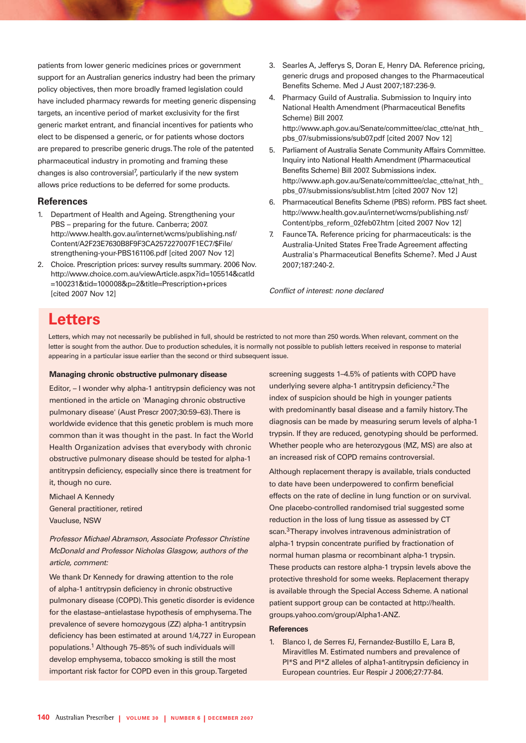patients from lower generic medicines prices or government support for an Australian generics industry had been the primary policy objectives, then more broadly framed legislation could have included pharmacy rewards for meeting generic dispensing targets, an incentive period of market exclusivity for the first generic market entrant, and financial incentives for patients who elect to be dispensed a generic, or for patients whose doctors are prepared to prescribe generic drugs. The role of the patented pharmaceutical industry in promoting and framing these changes is also controversial<sup>7</sup>, particularly if the new system allows price reductions to be deferred for some products.

## **References**

- 1. Department of Health and Ageing. Strengthening your PBS – preparing for the future. Canberra; 2007. http://www.health.gov.au/internet/wcms/publishing.nsf/ Content/A2F23E7630B8F9F3CA257227007F1EC7/\$File/ strengthening-your-PBS161106.pdf [cited 2007 Nov 12]
- 2. Choice. Prescription prices: survey results summary. 2006 Nov. http://www.choice.com.au/viewArticle.aspx?id=105514&catId =100231&tid=100008&p=2&title=Prescription+prices [cited 2007 Nov 12]
- 3. Searles A, Jefferys S, Doran E, Henry DA. Reference pricing, generic drugs and proposed changes to the Pharmaceutical Benefits Scheme. Med J Aust 2007;187:236-9.
- 4. Pharmacy Guild of Australia. Submission to Inquiry into National Health Amendment (Pharmaceutical Benefits Scheme) Bill 2007. http://www.aph.gov.au/Senate/committee/clac\_ctte/nat\_hth\_ pbs\_07/submissions/sub07.pdf [cited 2007 Nov 12]
- 5. Parliament of Australia Senate Community Affairs Committee. Inquiry into National Health Amendment (Pharmaceutical Benefits Scheme) Bill 2007. Submissions index. http://www.aph.gov.au/Senate/committee/clac\_ctte/nat\_hth\_ pbs\_07/submissions/sublist.htm [cited 2007 Nov 12]
- 6. Pharmaceutical Benefits Scheme (PBS) reform. PBS fact sheet. http://www.health.gov.au/internet/wcms/publishing.nsf/ Content/pbs\_reform\_02feb07.htm [cited 2007 Nov 12]
- 7. Faunce TA. Reference pricing for pharmaceuticals: is the Australia-United States Free Trade Agreement affecting Australia's Pharmaceutical Benefits Scheme?. Med J Aust 2007;187:240-2.

Conflict of interest: none declared

# **Letters**

Letters, which may not necessarily be published in full, should be restricted to not more than 250 words. When relevant, comment on the letter is sought from the author. Due to production schedules, it is normally not possible to publish letters received in response to material appearing in a particular issue earlier than the second or third subsequent issue.

## **Managing chronic obstructive pulmonary disease**

Editor, – I wonder why alpha-1 antitrypsin deficiency was not mentioned in the article on 'Managing chronic obstructive pulmonary disease' (Aust Prescr 2007;30:59–63). There is worldwide evidence that this genetic problem is much more common than it was thought in the past. In fact the World Health Organization advises that everybody with chronic obstructive pulmonary disease should be tested for alpha-1 antitrypsin deficiency, especially since there is treatment for it, though no cure.

Michael A Kennedy General practitioner, retired Vaucluse, NSW

Professor Michael Abramson, Associate Professor Christine McDonald and Professor Nicholas Glasgow, authors of the article, comment:

We thank Dr Kennedy for drawing attention to the role of alpha-1 antitrypsin deficiency in chronic obstructive pulmonary disease (COPD). This genetic disorder is evidence for the elastase–antielastase hypothesis of emphysema. The prevalence of severe homozygous (ZZ) alpha-1 antitrypsin deficiency has been estimated at around 1/4,727 in European populations.1 Although 75–85% of such individuals will develop emphysema, tobacco smoking is still the most important risk factor for COPD even in this group. Targeted

screening suggests 1–4.5% of patients with COPD have underlying severe alpha-1 antitrypsin deficiency.<sup>2</sup> The index of suspicion should be high in younger patients with predominantly basal disease and a family history. The diagnosis can be made by measuring serum levels of alpha-1 trypsin. If they are reduced, genotyping should be performed. Whether people who are heterozygous (MZ, MS) are also at an increased risk of COPD remains controversial.

Although replacement therapy is available, trials conducted to date have been underpowered to confirm beneficial effects on the rate of decline in lung function or on survival. One placebo-controlled randomised trial suggested some reduction in the loss of lung tissue as assessed by CT scan.<sup>3</sup> Therapy involves intravenous administration of alpha-1 trypsin concentrate purified by fractionation of normal human plasma or recombinant alpha-1 trypsin. These products can restore alpha-1 trypsin levels above the protective threshold for some weeks. Replacement therapy is available through the Special Access Scheme. A national patient support group can be contacted at http://health. groups.yahoo.com/group/Alpha1-ANZ.

#### **References**

1. Blanco I, de Serres FJ, Fernandez-Bustillo E, Lara B, Miravitlles M. Estimated numbers and prevalence of PI\*S and PI\*Z alleles of alpha1-antitrypsin deficiency in European countries. Eur Respir J 2006;27:77-84.